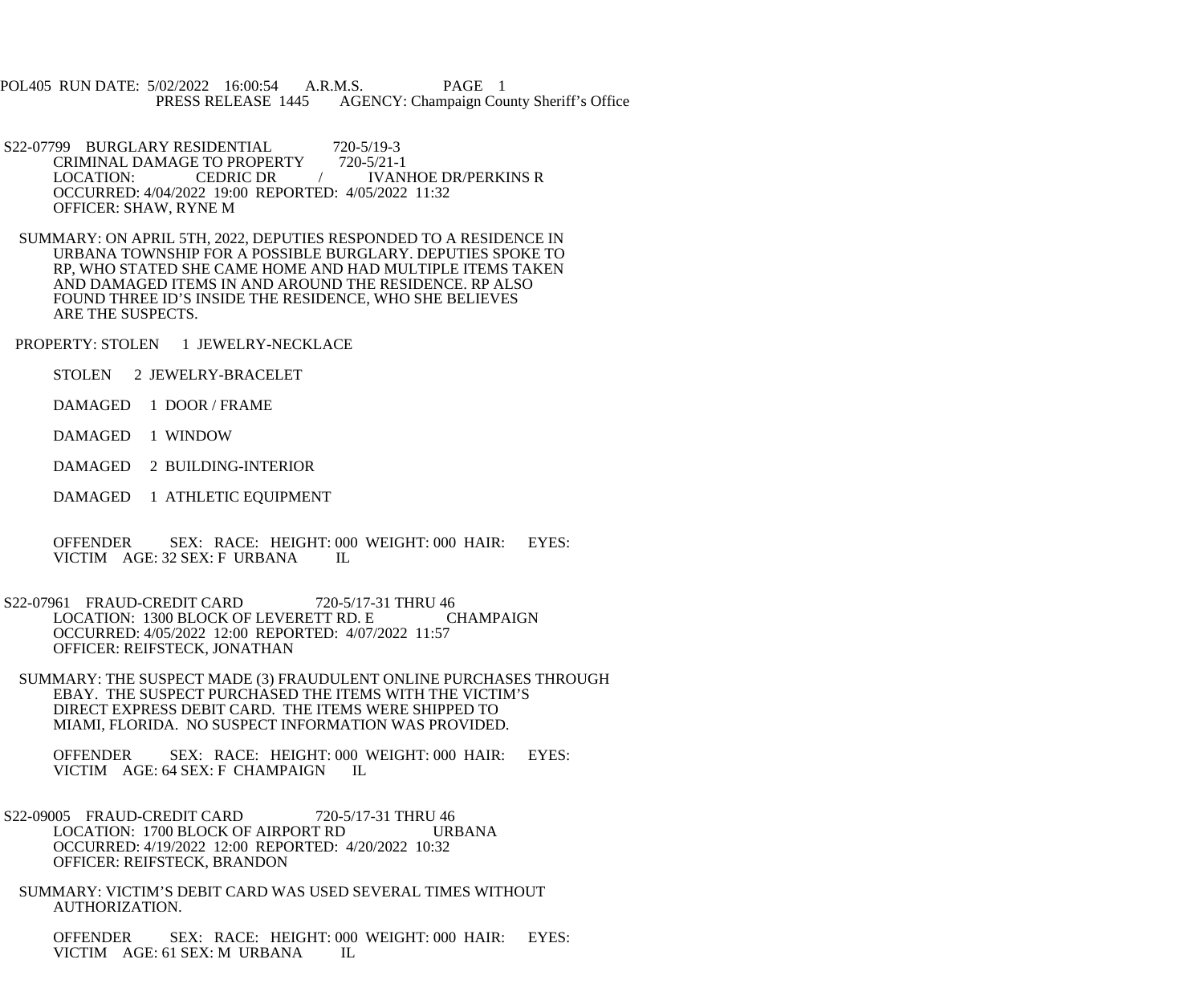POL405 RUN DATE: 5/02/2022 16:00:54 A.R.M.S. PAGE 1<br>PRESS RELEASE 1445 AGENCY: Champaign Cou AGENCY: Champaign County Sheriff's Office

S22-07799 BURGLARY RESIDENTIAL 720-5/19-3<br>CRIMINAL DAMAGE TO PROPERTY 720-5/21-1 CRIMINAL DAMAGE TO PROPERTY LOCATION: CEDRIC DR / IVANHOE DR/PERKINS R OCCURRED: 4/04/2022 19:00 REPORTED: 4/05/2022 11:32 OFFICER: SHAW, RYNE M

 SUMMARY: ON APRIL 5TH, 2022, DEPUTIES RESPONDED TO A RESIDENCE IN URBANA TOWNSHIP FOR A POSSIBLE BURGLARY. DEPUTIES SPOKE TO RP, WHO STATED SHE CAME HOME AND HAD MULTIPLE ITEMS TAKEN AND DAMAGED ITEMS IN AND AROUND THE RESIDENCE. RP ALSO FOUND THREE ID'S INSIDE THE RESIDENCE, WHO SHE BELIEVES ARE THE SUSPECTS.

PROPERTY: STOLEN 1 JEWELRY-NECKLACE

STOLEN 2 JEWELRY-BRACELET

DAMAGED 1 DOOR / FRAME

DAMAGED 1 WINDOW

DAMAGED 2 BUILDING-INTERIOR

DAMAGED 1 ATHLETIC EQUIPMENT

OFFENDER SEX: RACE: HEIGHT: 000 WEIGHT: 000 HAIR: EYES:<br>VICTIM AGE: 32 SEX: F URBANA IL VICTIM AGE: 32 SEX: F URBANA

S22-07961 FRAUD-CREDIT CARD 720-5/17-31 THRU 46 LOCATION: 1300 BLOCK OF LEVERETT RD. E CHAMPAIGN OCCURRED: 4/05/2022 12:00 REPORTED: 4/07/2022 11:57 OFFICER: REIFSTECK, JONATHAN

 SUMMARY: THE SUSPECT MADE (3) FRAUDULENT ONLINE PURCHASES THROUGH EBAY. THE SUSPECT PURCHASED THE ITEMS WITH THE VICTIM'S DIRECT EXPRESS DEBIT CARD. THE ITEMS WERE SHIPPED TO MIAMI, FLORIDA. NO SUSPECT INFORMATION WAS PROVIDED.

 OFFENDER SEX: RACE: HEIGHT: 000 WEIGHT: 000 HAIR: EYES: VICTIM AGE: 64 SEX: F CHAMPAIGN IL

S22-09005 FRAUD-CREDIT CARD 720-5/17-31 THRU 46<br>LOCATION: 1700 BLOCK OF AIRPORT RD URBANA LOCATION: 1700 BLOCK OF AIRPORT RD OCCURRED: 4/19/2022 12:00 REPORTED: 4/20/2022 10:32 OFFICER: REIFSTECK, BRANDON

 SUMMARY: VICTIM'S DEBIT CARD WAS USED SEVERAL TIMES WITHOUT AUTHORIZATION.

 OFFENDER SEX: RACE: HEIGHT: 000 WEIGHT: 000 HAIR: EYES: VICTIM AGE: 61 SEX: M URBANA IL